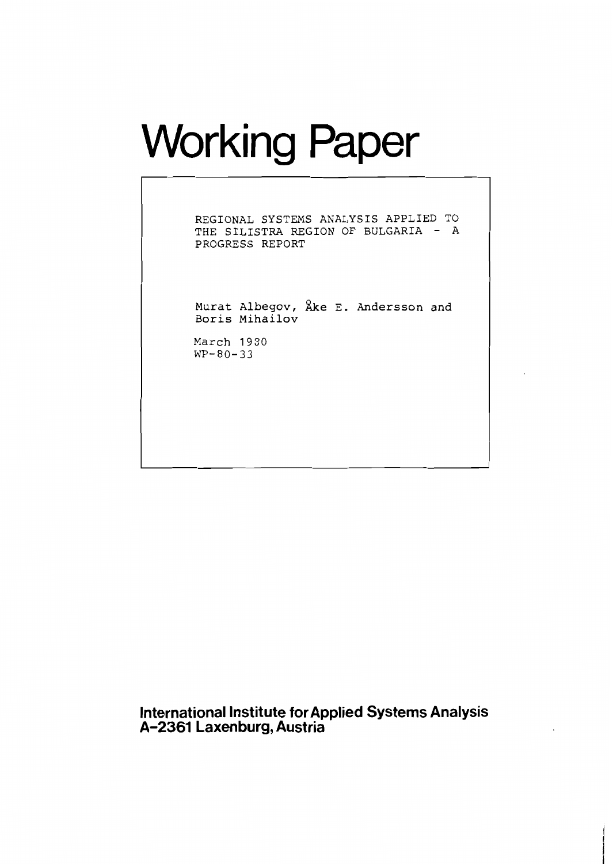# Working Paper

**REGIONAL SYSTEMS AXALYSIS APPLIED TO THE SILISTRA REGION OF BULGARIA** - **<sup>A</sup> PROGRESS REPORT** 

**Murat Albegov, he E. Andersson and Boris Mihailov** 

March **1930 WP-80-33** 

**International Institute for Applied Systems Analysis A-2361 Laxenburg, Austria**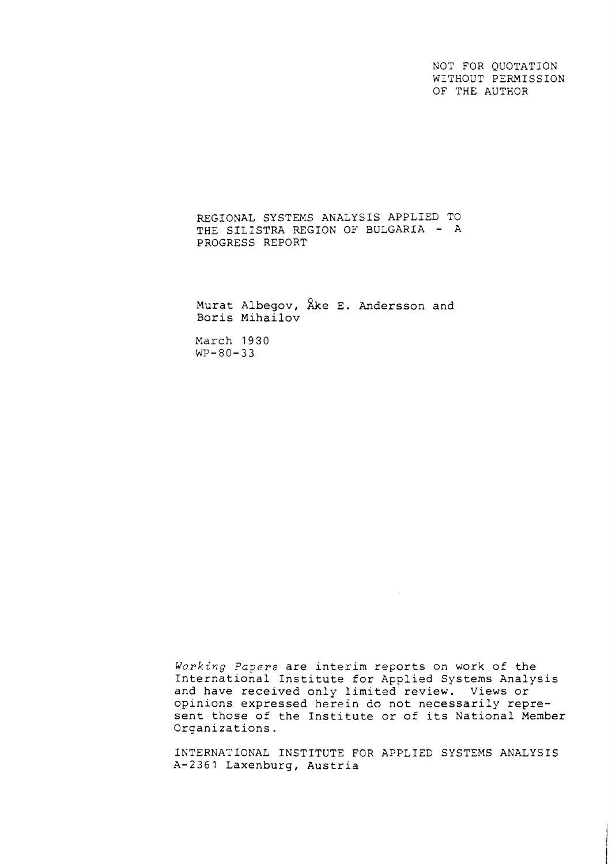NOT FOR QUOTATION WITHOUT PERMISSION OF THE AUTHOR

REGIONAL SYSTEMS ANALYSIS APPLIED TO THE SILISTRA REGION OF BULGARIA - A PROGRESS REPORT

Murat Albegov,  $\lambda$ ke E. Andersson and Boris Mihailov

March 1930  $WP - 80 - 33$ 

Working Papers are interim reports on work of the International Institute for Applied Systems Analysis and have received only limited review. Views or opinions expressed herein do not necessarily represent those of the Institute or of its National Member Organizations.

INTERNATIONAL INSTITUTE FOR APPLIED SYSTEMS ANALYSIS A-2361 Laxenburg, Austria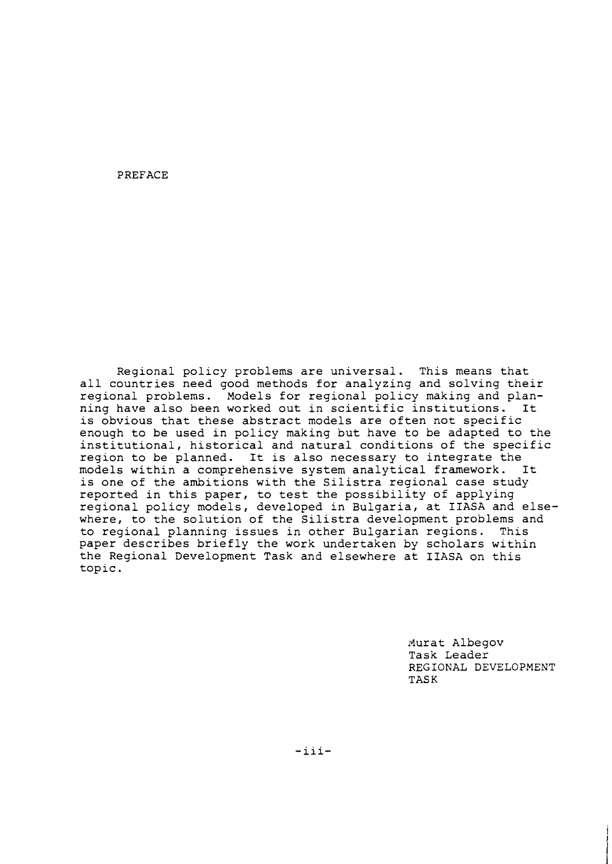PREFACE

Regional policy problems are universal. This means that all countries need good methods for analyzing and solving their regional problems. Models for regional policy making and planning have also been worked out in scientific institutions. It is obvious that these abstract models are often not specific enough to be used in policy making but have to be adapted to the institutional, historical and natural conditions of the specific region to be planned. It is also necessary to integrate the<br>models within a comprehensive system analytical framework. It models within a comprehensive system analytical framework. is one of the ambitions with the Silistra regional case study reported in this paper, to test the possibility of applying regional policy models, developed in Bulgaria, at IIASA and elsewhere, to the solution of the Silistra development problems and to regional planning issues in other Bulgarian regions. This paper describes briefly the work undertaken by scholars within the Regional Development Task and elsewhere at IIASA on this topic.

> Nurat Albegov Task Leader REGIONAL DEVELOPMENT TASK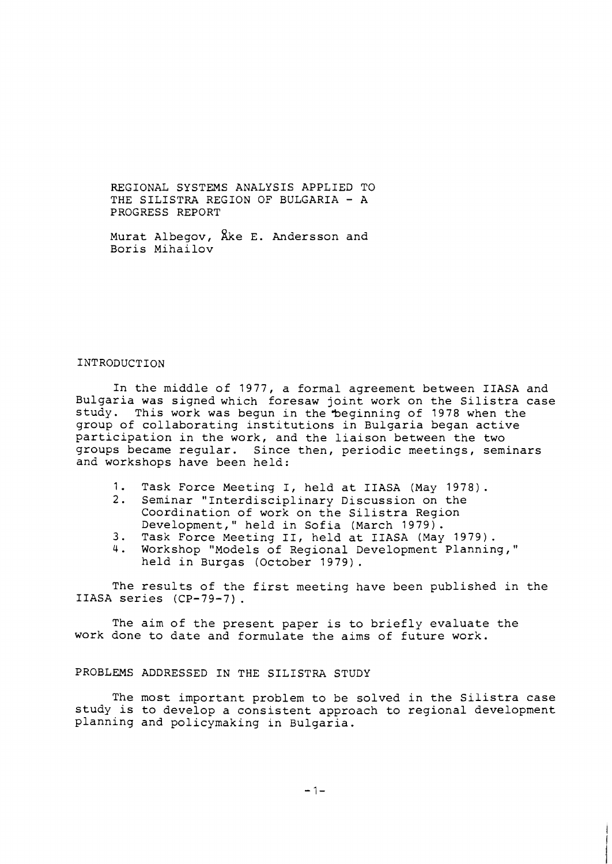REGIONAL SYSTEMS ANALYSIS APPLIED TO THE SILISTRA REGION OF BULGARIA - <sup>A</sup> PROGRESS REPORT

Murat Albegov,  $\lambda$ ke E. Andersson and Boris Mihailov

#### INTRODUCTION

In the middle of 1977, a formal agreement between IIASA and Bulgaria was signed which foresaw joint work on the Silistra case study. This work was begun in the 'beginning of 1978 when the group of collaborating institutions in Bulgaria began active participation in the work, and the liaison between the two groups became regular. Since then, periodic meetings, seminars and workshops have been held:

- 1. Task Force Meeting I, held at IIASA (May 1978).<br>2. Seminar "Interdisciplinary Discussion on the
- Seminar "Interdisciplinary Discussion on the Coordination of work on the Silistra Region Development," held in Sofia (March 1979).
- 3. Task Force Meeting 11, held at IIASA (May 1979).
- 4. Workshop "Models of Regional Development Planning," held in Burgas (October 1979) .

The results of the first meeting have been published in the IIASA series (CP-79-7) .

The aim of the present paper is to briefly evaluate the work done to date and formulate the aims of future work.

#### PROBLEMS ADDRESSED IN THE SILISTRA STUDY

The most important problem to be solved in the Silistra case study is to develop a consistent approach to regional development planning and policymaking in Bulgaria.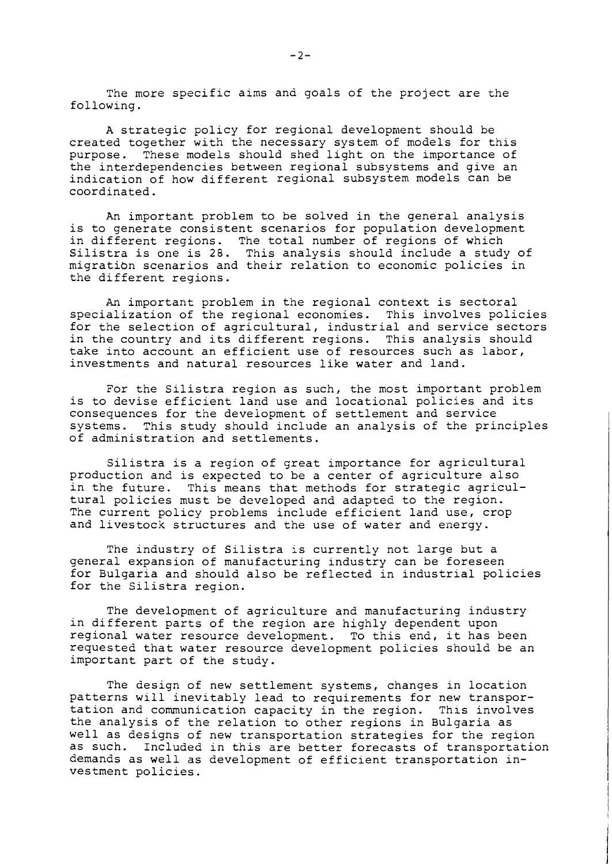The more specific aims and goals of the project are the following.

A strategic policy for regional development should be created together with the necessary system of models for this purpose. These models should shed light on the importance of the interdependencies between regional subsystems and give an indication of how different regional subsystem models can be coordinated.

An important problem to be solved in the general analysis is to generate consistent scenarios for population development in different regions. The total number of regions of which Silistra is one is 28. This analysis should include a study of migratibn scenarios and their relation to economic policies in the different regions.

An important problem in the regional context is sectoral specialization of the regional economies. This involves policies for the selection of agricultural, industrial and service sectors in the country and its different regions. This analysis should take into account an efficient use of resources such as labor, investments and natural resources like water and land.

For the Silistra region as such, the most important problem is to devise efficient land use and locational policies and its consequences for the deveiopment of settlement and service systems. This study should include an analysis of the principles of administration and settlements.

Silistra is a region of great importance for agricultural production and is expected to be a center of agriculture also<br>in the future. This means that methods for strategic agricul-This means that methods for strategic agricultural policies must be developed and adapted to the region. The current policy problems include efficient land use, crop and livestock structures and the use of water and energy.

The industry of Silistra is currently not large but a general expansion of manufacturing industry can be foreseen for Bulgaria and should also be reflected in industrial policies for the Silistra region.

The development of agriculture and manufacturing industry in different parts of the region are highly dependent upon regional water resource development. To this end, it has been requested that water resource development policies should be an important part of the study.

The design of new settlement systems, changes in location patterns will inevitably lead to requirements for new transportation and communication capacity in the region. This involves the analysis of the relation to other regions in Bulgaria as well as designs of new transportation strategies for the region as such. Included in this are better forecasts of transportation demands as well as development of efficient transportation investment policies.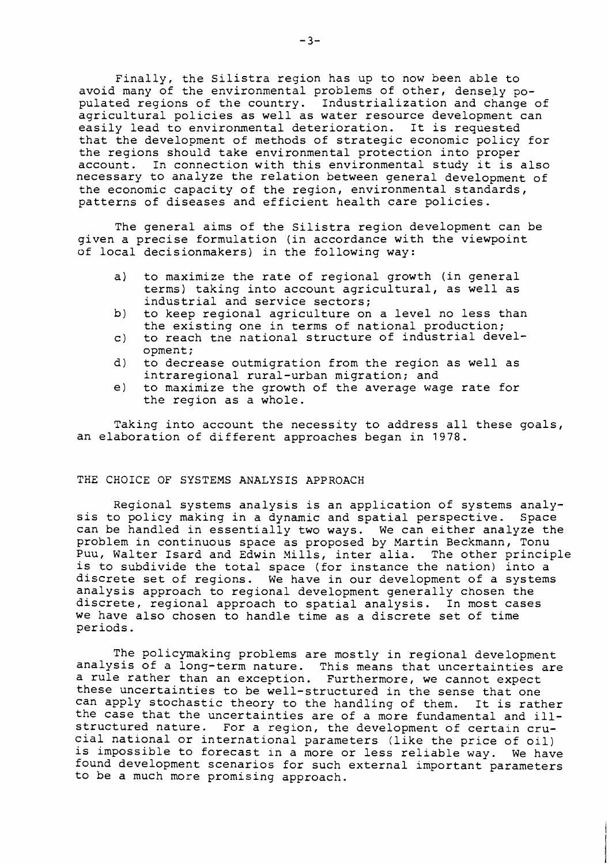Finally, the Silistra region has up to now been able to avoid many of the environmental problems of other, densely populated regions of the country. Industrialization and change of agricultural policies as well as water resource development can easily lead to environmental deterioration. It is requested that the development of methods of strategic economic policy for the regions should take environmental protection into proper account. In connection with this environmental study it is also necessary to analyze the relation between general development of the economic capacity of the region, environmental standards, patterns of diseases and efficient health care policies.

The general aims of the Silistra region development can be given a precise formulation (in accordance with the viewpoint of local decisionmakers) in the following way:

- a) to maximize the rate of regional growth (in general terms) taking into account agricultural, as well as industrial and service sectors;
- b) to keep regional agriculture on a level no less than the existing one in terms of national production;
- c) to reach tne national structure of industrial development;
- d) to decrease outmigration from the region as well as intraregional rural-urban migration; and
- e) to maximize the growth of the average wage rate for the region as a whole.

Taking into account the necessity to address all these goals, an elaboration of different approaches began in 1978.

## THE CHOICE OF SYSTEMS ANALYSIS APPROACH

Regional systems analysis is an application of systems analysis to policy making in a dynamic and spatial perspective. Space can be handled in essentially two ways. We can either analyze the problem in continuous space as proposed by Martin Beckmann, Tonu Puu, Walter Isard and Edwin Mills, inter alia. The other principle is to subdivide the total space (for instance the nation) into a discrete set of regions. We have in our development of a systems analysis approach to regional development generally chosen the discrete, regional approach to spatial analysis. In most cases we have also chosen to handle time as a discrete set of time periods.

The policymaking problems are mostly in regional development analysis of a long-term nature. This means that uncertainties are a rule rather than an exception. Furthermore, we cannot expect these uncertainties to be well-structured in the sense that one can apply stochastic theory to the handling of them. It is rather the case that the uncertainties are of a more fundamental and illstructured nature. For a region, the development of certain crucial national or international parameters (like the price of oil) is impossible to forecast in a more or less reliable way. We have found development scenarios for such external important parameters to be a much more promising approach.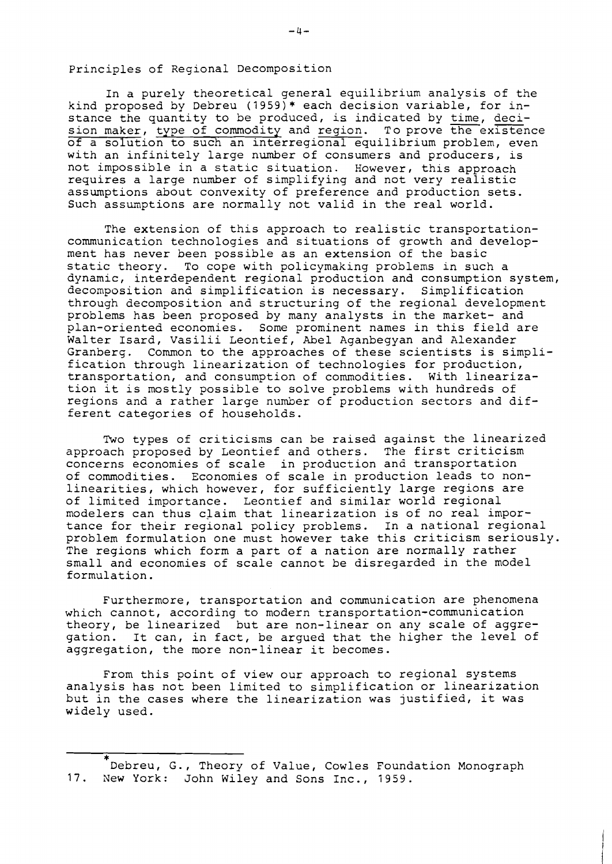Principles of Regional Decomposition

In a purely theoretical general equilibrium analysis of the kind proposed by Debreu (1959)\* each decision variable, for in-<br>stance the quantity to be produced, is indicated by time, deci-Principles of Regional Decomposition<br>In a purely theoretical general equilibrium analysis of the<br>kind proposed by Debreu (1959)\* each decision variable, for in-<br>stance the quantity to be produced, is indicated by <u>time, de</u> sion maker, type of commodity and region. To prove the existence of a solution to such an interreqional equilibrium problem, even with an infinitely large number of consumers and producers, is not impossible in a static situation. However, this approach requires a large number of simplifying and not very realistic assumptions about convexity of preference and production sets. Such assumptions are normally not valid in the real world.

The extension of this approach to realistic transportationcommunication technologies and situations of growth and development has never been possible as an extension of the basic static theory. To cope with policymaking problems in such a dynamic, interdependent regional production and consumption system, decomposition and simplification is necessary. Simplification through decomposition and structuring of the regional development problems has been proposed by many analysts in the market- and plan-oriented economies. Some prominent names in this field are Walter Isard, Vasilii Leontief, Abel Aganbegyan and Alexander Granberg. Common to the approaches of these scientists is simplification through linearization of technologies for production, transportation, and consumption of commodities. With linearization it is mostly possible to solve problems with hundreds of regions and a rather large number of production sectors and different categories of households.

Two types of criticisms can be raised against the linearized approach proposed by Leontief and others. The first criticism concerns economies of scale in production and transportation of commodities. Economies of scale in production leads to nonlinearities, which however, for sufficiently large regions are of limited importance. Leontief and similar world regional modelers can thus claim that linearization is of no real importance for their regional policy problems. In a national regional problem formulation one must however take this criticism seriously. The regions which form a part of a nation are normally rather small and economies of scale cannot be disregarded in the model formulation.

Furthermore, transportation and communication are phenomena which cannot, according to modern transportation-communication theory, be linearized but are non-linear on any scale of aggregation. It can, in fact, be argued that the higher the level of aggregation, the more non-linear it becomes.

From this point of view our approach to regional systems analysis has not been limited to simplification or linearization but in the cases where the linearization was justified, it was widely used.

<sup>\*</sup>Debreu, G., Theory of Value, Cowles Foundation Monograph 17. New York: John Wiley and Sons Inc., 1959.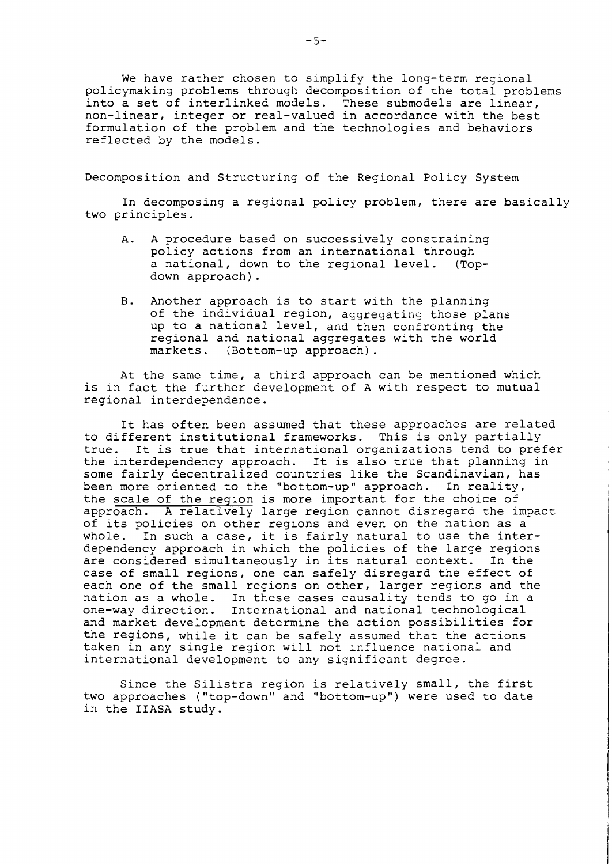We have rather chosen to simplify the long-term regional policymaking problems through decomposition of the total problems into a set of interlinked models. These submodels are linear, non-linear, integer or real-valued in accordance with the best formulation of the problem and the technologies and behaviors reflected by the models.

Decomposition and Structuring of the Regional Policy System

In decomposing a regional policy problem, there are basically two principles.

- A. A procedure based on successively constraining policy actions from an international through a national, down to the regional level. (Topdown approach).
- B. Another approach is to start with the planning of the individual region, aggregating those plans up to a national level, and then confronting the regional and national aggregates with the world markets. (Bottom-up approach).

At the same time, a third approach can be mentioned which is in fact the further development of A with respect to mutual regional interdependence.

It has often been assumed that these approaches are related to different institutional frameworks. This is only partially true. It is true that international organizations tend to prefer the interdependency approach. It is also true that planning in some fairly decentralized countries like the Scandinavian, has been more oriented to the "bottom-up" approach. In reality, the scale of the region is more important for the choice of approach. A relatively large region cannot disregard the impact of its policies on other reglons and even on the nation as a whole. In such a case, it is fairly natural to use the interdependency approach in which the policies of the large regions are considered simultaneously in its natural context. In the case of small regions, one can safely disregard the effect of each one of the small regions on other, larger regions and the nation as a whole. In these cases causality tends to go in a one-way direction. International and national technological and market development determine the action possibilities for the regions, while it can be safely assumed that the actions taken in any single region will not influence national and international development to any significant degree.

Since the Silistra region is relatively small, the first two approaches ("top-down" and "bottom-up") were used to date in the IIASA study.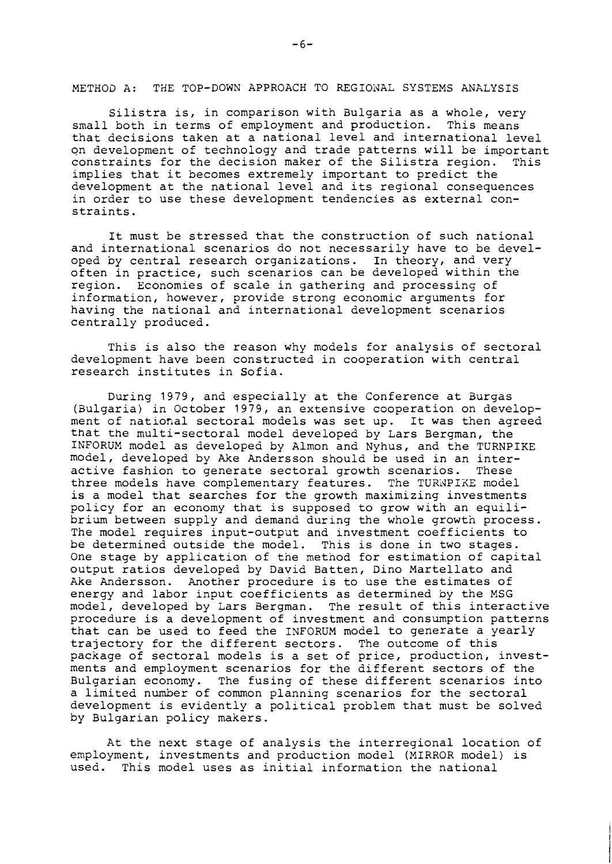METHOD A: THE TOP-DOWN APPROACH TO REGIONAL SYSTEMS ANALYSIS

Silistra is, in comparison with Bulgaria as a whole, very small both in terms of employment and production. This means that decisions taken at a national level and international level on development of technology and trade patterns will be important constraints for the decision maker of the Silistra region. This implies that it becomes extremely important to predict the development at the national level and its regional consequences in order to use these development tendencies as external constraints.

It must be stressed that the construction of such national and international scenarios do not necessarily have to be devel-<br>oped by central research organizations. In theory, and very oped by central research organizations. often in practice, such scenarios can be developed within the<br>region. Economies of scale in gathering and processing of Economies of scale in gathering and processing of information, however, provide strong economic arguments for having the national and international development scenarios centrally produced.

This is also the reason why models for analysis of sectoral development have been constructed in cooperation with central research institutes in Sofia.

During 1979, and especially at the Conference at Burgas (aulgaria) in October 1979, an extensive cooperation on development of national sectoral models was set up. It was then agreed that the multi-sectoral model developed by Lars Bergman, the INFORUM model as developed by Almon and Nyhus, and the TURNPIKE model, developed by Ake Andersson should be used in an interactive fashion to generate sectoral growth scenarios. These three models have complementary features. The TURNPIKE model is a model that searches for the growth maximizing investments policy for an economy that is supposed to grow with an equilibrium between supply and demand during the whole growth process. The model requires input-output and investment coefficients to be determined outside the model. This is done in two stages. One stage by application of the method for estimation of capital output ratios developed by David Batten, Dino Martellato and Ake Andersson. Another procedure is to use the estimates of energy and labor input coefficients as determined by the MSG model, developed by Lars Bergman. The result of this interactive procedure is a development of investment and consumption patterns that can be used to feed the INFORUM model to generate a yearly trajectory for the different sectors. The outcome of this package of sectoral models is a set of price, production, investments and employment scenarios for the different sectors of the Bulgarian economy. The fusing of these different scenarios into a limited number of common planning scenarios for the sectoral development is evidently a political problem that must be solved by Bulgarian policy makers.

At the next stage of analysis the interregional location of employment, investments and production model (MIRROR model) is used. This model uses as initial information the national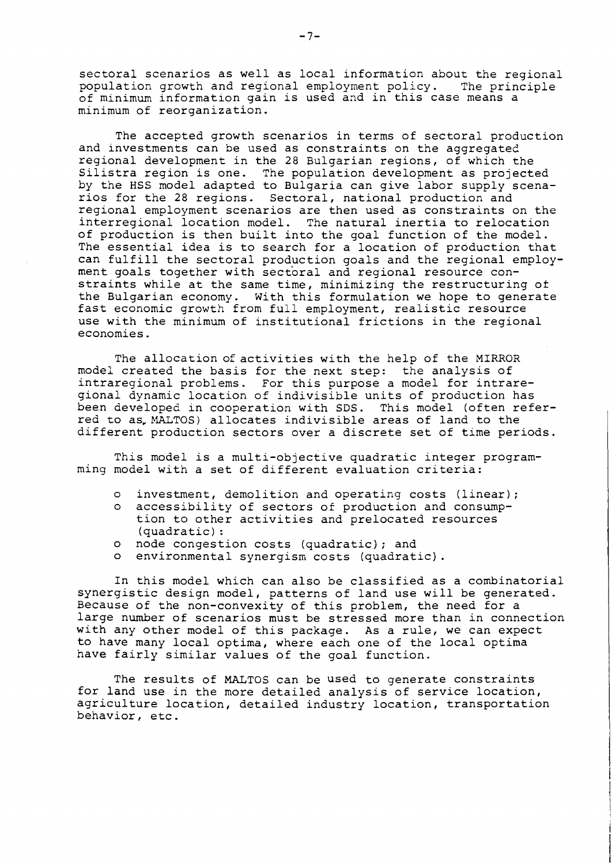sectoral scenarios as well as local information about the regional population growth and regional employment policy. The principle of minimum information gain is used and in this case means a minimum of reorganization.

The accepted growth scenarios in terms of sectoral production and investments can be used as constraints on the aggregated regional development in the 28 Bulgarian regions, of which the Silistra region is one. The population development as projected by the HSS model adapted to Bulgaria can give labor supply scenarios for the 28 regions. Sectoral, national production and regional employment scenarios are then used as constraints on the interregional location model. The natural inertia to relocation of production is then built into the goal function of the model. The essential idea is to search for a location of production that can fulfill the sectoral production goals and the regional employment goals together with sectoral and regional resource constraints while at the same time, minimizing the restructuring of the Bulgarian economy. With this formulation we hope to generate fast economic growth from full employment, realistic resource use with the minimum of institutional frictions in the regional economies.

The allocation of activities with the help of the MIRROR model created the basis for the next step: the analysis of intraregional problems. For this purpose a model for intraregionai dynamic location of indivisible units of production has been developed in cooperation with SDS. This model (often referred to as, MALTOS) allocates indivisible areas of land to the different production sectors over a discrete set of time periods.

This model is a multi-objective quadratic integer programming model with a set of different evaluation criteria:

- o investment, demolition and operating costs (linear);
- o accessibility of sectors of production and consumption to other activities and prelocated resources (quadratic) :
- o node congestion costs (quadratic); and
- o environmental synergism costs (quadratic).

In this model which can also be classified as a combinatorial synergistic design model, patterns of land use will be generated. Because of the non-convexity of this problem, the need for a large number of scenarios must be stressed more than in connection with any other model of this package. As a rule, we can expect to have many local optima, where each one of the local optima have fairly similar values of the goal function.

The results of MALToS can be used to generate constraints for land use in the more detailed analysis of service location, agriculture location, detailed industry location, transportation behavior, etc .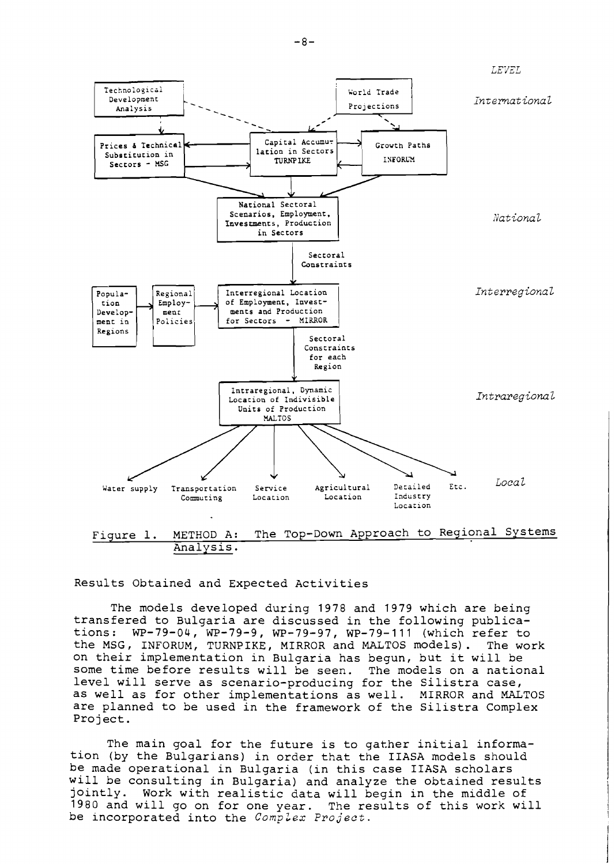

LEVEL



Analysis.

Results Obtained and Expected Activities

The models developed during 1978 and 1979 which are being transfered to Bulgaria are discussed in the following publications: WP-79-04, WP-79-9, WP-79-97, WP-79-111 (which refer to the MSG, INFORUM, TURNPIKE, MIRROR and MALTOS models). The work on their implementation in Bulgaria has begun, but it will be some time before results will be seen. The models on a national level will serve as scenario-producing for the Silistra case, as well as for other implementations as well. MIRROR and MALTOS are planned to be used in the framework of the Silistra Complex Project.

The main goal for the future is to gather initial information (by the Bulgarians) in order that the IIASA models should be made operational in Bulgaria (in this case IIASA scholars will be consulting in Bulgaria) and analyze the obtained results jointly. Work with realistic data will begin in the middle of 1980 and will go on for one year. The results of this work will be incorporated into the *Complex Project*.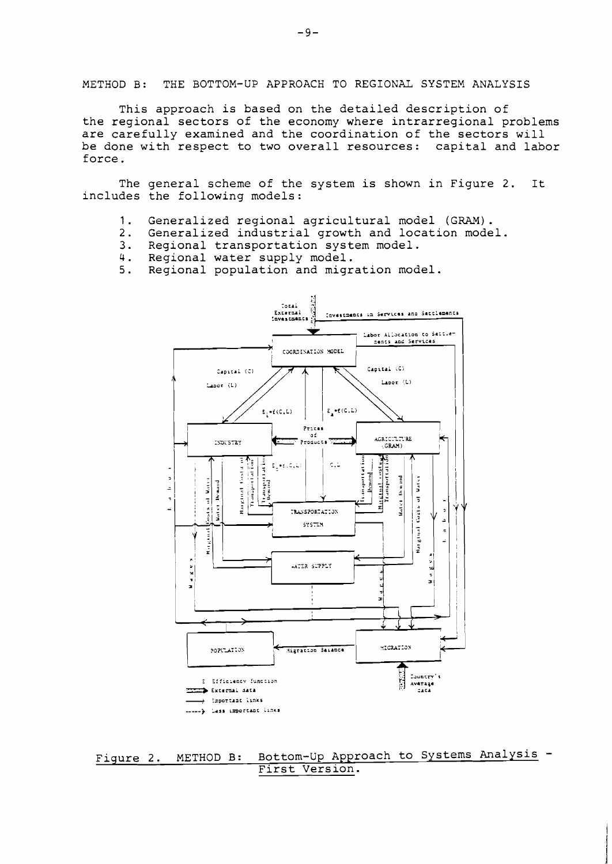METHOD B: THE BOTTOM-UP APPROACH TO REGIONAL SYSTEM ANALYSIS

This approach is based on the detailed description of the regional sectors of the economy where intrarregional problems are carefully examined and the coordination of the sectors will be done with respect to two overall resources: capital and labor force .

The general scheme of the system is shown in Figure 2. It includes the following models:

- 1. Generalized regional agricultural model (GRAM).<br>2. Generalized industrial growth and location mode
- 2. Generalized industrial growth and location model.<br>3. Regional transportation system model.
- **3.** Regional transportation system model.
- 
- 4. Regional water supply model.<br>5. Regional population and migr Regional population and migration model.



Figure 2. METHOD B: Bottom-Up Approach to Systems Analysis - First Version.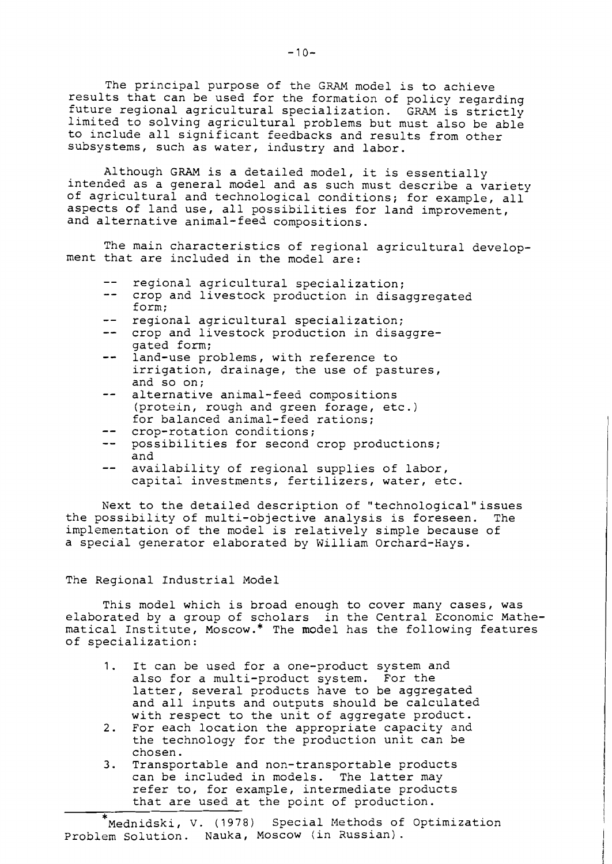The principal purpose of the GRAM model is to achieve results that can be used for the formation of policy regarding future regional agricultural specialization. GRAM is strictly limited to solving agricultural problems but must also be able to include all significant feedbacks and results from other subsystems, such as water, industry and labor.

Although GRAM is a detailed model, it is essentially intended as a general model and as such must describe a variety of agricultural and technological conditions; for example, all aspects of land use, all possibilities for land improvement, and alternative animal-feed compositions.

The main characteristics of regional agricultural development that are included in the model are:

- $$ regional agricultural specialization;
- crop and livestock production in disaggregated form;
- regional agricultural specialization;
- -- crop and livestock production in disaggregated form;
- $$ land-use problems, with reference to irrigation, drainage, the use of pastures, and so on;
- alternative animal-feed compositions  $- -$ (protein, rough and green forage, etc.) for balanced animal-feed rations;
- $$ crop-rotation conditions;
- -- possibilities for second crop productions; and
- availability of regional supplies of labor,  $-$ capital investments, fertilizers, water, etc.

Next to the detailed description of "technological"issues the possibility of multi-objective analysis is foreseen. The implementation of the model is relatively simple because of a special generator elaborated by William Orchard-Hays.

### The Regional Industrial Model

This model which is broad enough to cover many cases, was elaborated by a group of scholars in the Central Economic Mathematical Institute, Moscow.\* The model has the following features of specialization:

- 1. It can be used for a one-product system and also for a multi-product system. For the latter, several products have to be aggregated and all inputs and outputs should be calculated with respect to the unit of aggregate product.
- 2. For each location the appropriate capacity and the technology for the production unit can be chosen.
- 3. Transportable and non-transportable products can be included in models. The latter may refer to, for example, intermediate products that are used at the point of production.

\* Mednidski, V. (1978) Special Methods of Optimization Problem Solution. Nauka, Moscow (in Russian).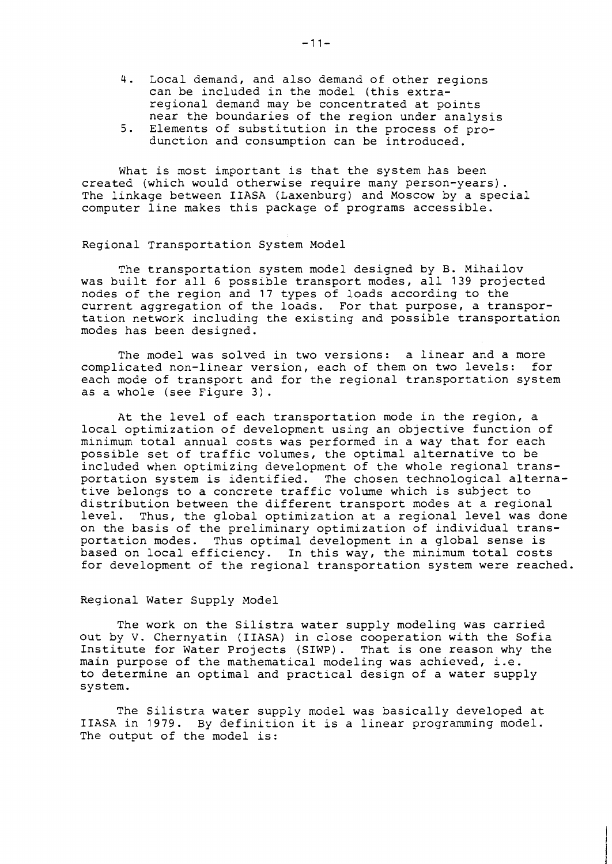- 4. Local demand, and also demand of other regions can be included in the model (this extraregional demand may be concentrated at points near the boundaries of the region under analysis
- 5. Elements of substitution in the process of produnction and consumption can be introduced.

What is most important is that the system has been created (which would otherwise require many person-years). The linkage between IIASA (Laxenburg) and Moscow by a special computer line makes this package of programs accessible.

Regional Transportation System Model

The transportation system model designed by B. Mihailov was built for all 6 possible transport modes, all 139 projected nodes of the region and 17 types of loads according to the current aggregation of the loads. For that purpose, a transportation network including the existing and possible transportation modes has been designed.

The model was solved in two versions: a linear and a more complicated non-linear version, each of them on two levels: for each mode of transport and for the regional transportation system as a whole (see Figure 3) .

At the level of each transportation mode in the region, a local optimization of development using an objective function of minimum total annual costs was performed in a way that for each possible set of traffic volumes, the optimal alternative to be included when optimizing development of the whole regional transportation system is identified. The chosen technological alternative belongs to a concrete traffic volume which is subject to distribution between the different transport modes at a regional level. Thus, the global optimization at a regional level was done on the basis of the preliminary optimization of individual transportation modes. Thus optimal development in a global sense is based on local efficiency. In this way, the minimum total costs for development of the regional transportation system were reached.

## Regional Water Supply Model

The work on the Silistra water supply modeling was carried out by V. Chernyatin (IIASA) in close cooperation with the Sofia Institute for Water Projects (SIWP). That is one reason why the main purpose of the mathematical modeling was achieved, i.e. to determine an optimal and practical design of a water supply system.

The Silistra water supply model was basically developed at IIASA in 1979. By definition it is a linear programming model. The output of the model is: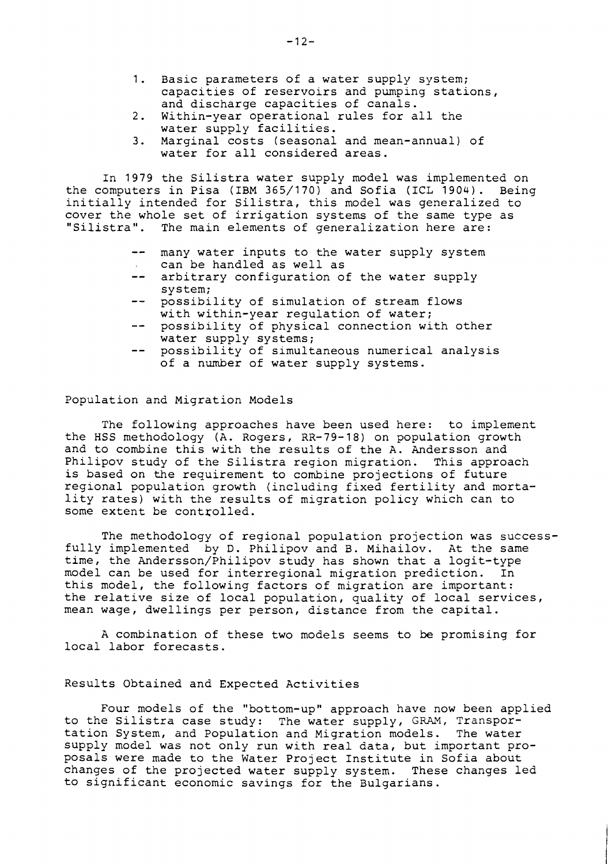- 1. Basic parameters of a water supply system; capacities of reservoirs and pumping stations, and discharge capacities of canals.
- 2. Within-year operational rules for all the water supply facilities.
- 3. Marginal costs (seasonal and mean-annual) of water for all considered areas.

In 1979 the Silistra water supply model was implemented on the computers in Pisa (IBM 365/170) and Sofia (ICL 1904). Being initially intended for Silistra, this model was generalized to cover the whole set of irrigation systems of the same type as "Silistra". The main elements of generalization here are:

- -- many water inputs to the water supply system can be handled as well as
- -- arbitrary configuration of the water supply system;
- -- possibility of simulation of stream flows with within-year regulation of water;
- -- possibility of physical connection with other water supply systems;
- -- possibility of simultaneous numerical analysis of a number of water supply systems.

Population and Migration Models

The following approaches have been used here: to implement the HSS methodology (A. Rogers, RR-79-18) on population growth and to combine this with the results of the A. Andersson and Philipov study of the Silistra region migration. This approach is based on the requirement to combine projections of future regional population growth (including fixed fertility and mortality rates) with the results of migration policy which can to some extent be controlled.

The methodology of regional population projection was successfully implemented by D. Philipov and B. Mihailov. At the same time, the Andersson/Philipov study has shown that a logit-type model can be used for interregional migration prediction. In this model, the following factors of migration are important: the relative size of local population, quality of local services, mean wage, dwellings per person, distance from the capital.

A combination of these two models seems to be promising for local labor forecasts.

# Results Obtained and Expected Activities

Four models of the "bottom-up" approach have now been applied to the Silistra case study: The water supply, GRAM, Transportation System, and Population and Migration models. The water supply model was not only run with real data, but important proposals were made to the Water Project Institute in Sofia about changes of the projected water supply system. These changes led to significant economic savings for the Bulgarians.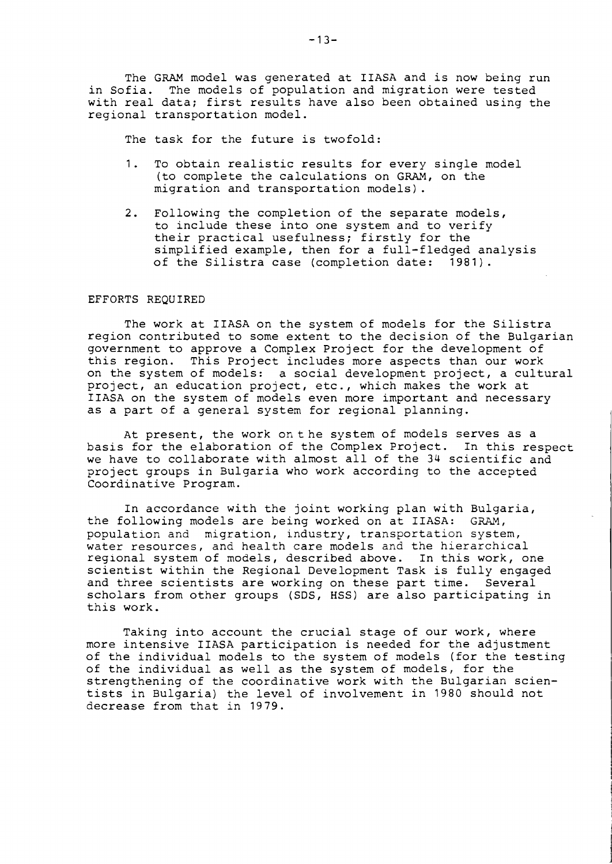The GRAM model was generated at IIASA and is now being run in Sofia. The models of population and migration were tested with real data; first results have also been obtained using the regional transportation model.

The task for the future is twofold:

- 1. To obtain realistic results for every single model (to complete the calculations on GRAM, on the migration and transportation models).
- 2. Following the completion of the separate models, to include these into one system and to verify their practical usefulness; firstly for the simplified example, then for a full-fledged analysis of the Silistra case (completion date: 1981).

## EFFORTS REQUIRED

The work at IIASA on the system of models for the Silistra region contributed to some extent to the decision of the Bulgarian government to approve a Complex Project for the development of this region. This Project includes more aspects than our work on the system of models: a social development project, a cultural project, an education project, etc., which makes the work at IIASA on the system of models even more important and necessary as a part of a general system for regional planning.

At present, the work onthe system of models serves as a basis for the elaboration of the Complex Project. In this respect we have to collaborate with almost all of the 34 scientific and project groups in Bulgaria who work according to the accepted Coordinative Program.

In accordance with the joint working plan with Bulgaria, the following models are being worked on at IIASA: GRAM, population and migration, industry, transportation system, water resources, and health care models and the hierarchical reglonal system of models, described above. In this work, one scientist within the Regional Development Task is fully engaged and three scientists are working on these part time. Several scholars from other groups (SDS, HSS) are also participating in this work.

Takinq into account the crucial staqe of our work, where more intensive IIASA participation is needed for the adjustment of the individual models to the system of models (for the testing of the individual as well as the system of models, for the strengthening of the coordinative work with the Bulgarian scientists in Bulgaria) the level of involvement in 1980 should not decrease from that in 1979.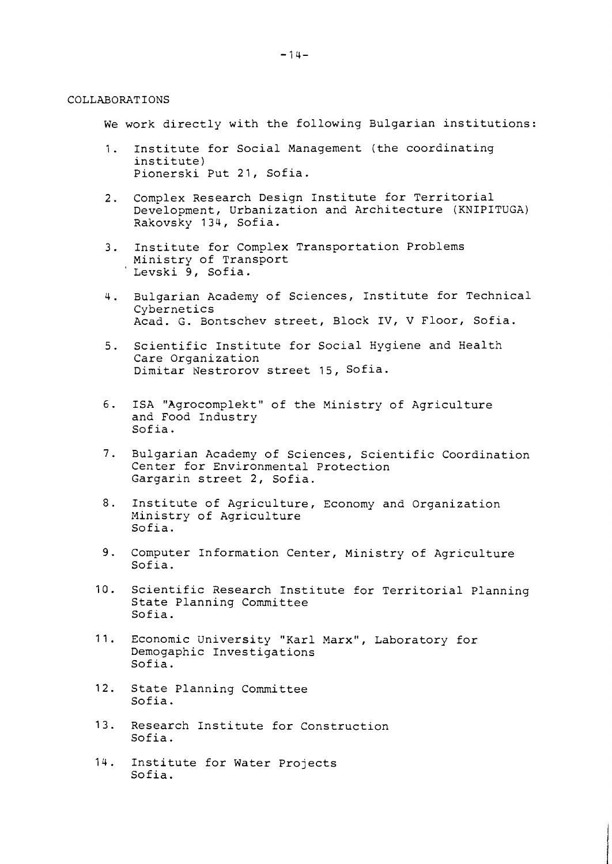### COLLABORATIONS

We work directly with the following Bulgarian institutions:

- 1. Institute for Social Management (the coordinating institute) Pionerski Put 21, Sofia.
- 2. Complex Research Design Institute for Territorial Development, Urbanization and Architecture (KNIPITUGA) Rakovsky 134, Sofia.
- 3. Institute for Complex Transportation Problems Ministry of Transport Levski 9, Sofia.
- 4. Bulgarian Academy of Sciences, Institute for Technical Cybernetics Acad. G. Bontschev street, Block IV, V Floor, Sofia.
- 5. Scientific Institute for Social Hygiene and Health Care Organization Dimitar Nestrorov street 15, Sofia.
- 6. ISA "Agrocomplekt" of the Ministry of Agriculture and Food Industry Sof ia.
- **7.** Bulgarian Academy of Sciences, Scientific Coordination Center for Environmental Protection Gargarin street 2, Sofia.
- 8. Institute of Agriculture, Economy and Organization Ministry of Agriculture Sofia.
- 9. Computer Information Center, Ministry of Agriculture Sofia.
- 10. Scientific Sesearch Institute for Territorial Planning State Planning Committee Sofia.
- 11. Economic University "Karl Marx", Laboratory for Demogaphic Investigations Sofia.
- 12. State Planning Committee Sofia.
- 13. Research Institute for Construction Sofia.
- 14. Institute for Water Projects Sofia.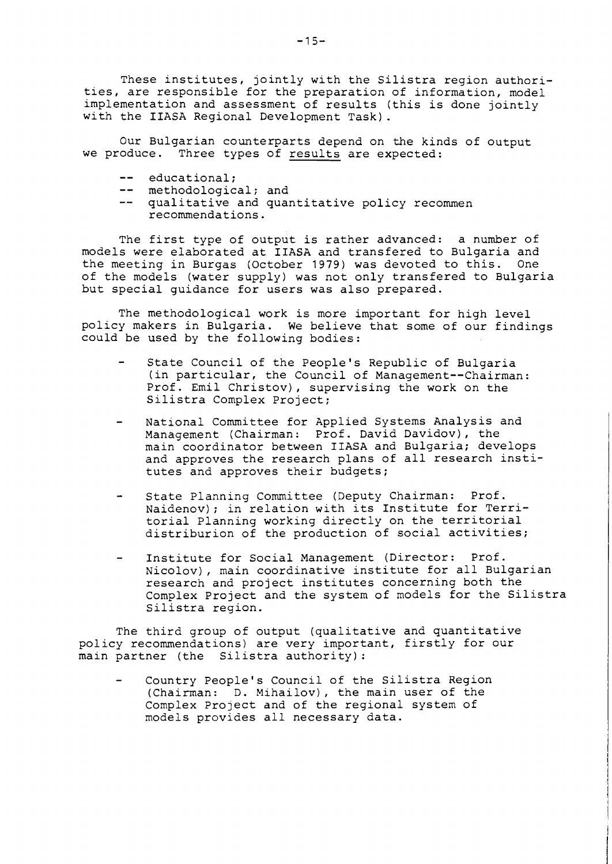These institutes, jointly with the Silistra region authorities, are responsible for the preparation of information, model implementation and assessment of results (this is done jointly with the IIASA Regional Development Task).

Our Bulgarian counterparts depend on the kinds of output we produce. Three types of results are expected:

- -- educational:
- -- methodological; and
- -- qualitative and quantitative policy recommen recommendations.

The first type of output is rather advanced: a number of models were elaborated at IIASA and transfered to Bulgaria and the meeting in Burgas (October 1979) was devoted to this. One of the models (water supply) was not only transfered to Bulgaria but special guidance for users was also prepared.

The methodological work is more important for high level policy makers in Bulgaria. We believe that some of our findings could be used by the following bodies:

- State Council of the People's Republic of Bulgaria (in particular, the Council of Management--Chairman: Prof. Emil Christov), supervising the work on the Silistra Complex Project;
- National Committee for Applied Systems Analysis and Management (Chairman: Prof. David Davidov), the main coordinator between IIASA and Bulgaria; develops and approves the research plans of all research institutes and approves their budgets;
- State Planning Committee (Deputy Chairman: Prof. Naidenov); in relation with its Institute for Territorial Planning working directly on the territorial distriburion of the production of social activities;
- Institute for Social Management (Director: Prof. Nicolov), main coordinative institute for all Bulgarian research and project institutes concerning both the Complex Project and the system of models for the Silistra Silistra region.

The third group of output (qualitative and quantitative policy recommendations) are very important, firstly for our main partner (the Silistra authority) :

Country People's Council of the Silistra Region (Chairman: D. Mihailov), the main user of the Complex Project and of the regional system of models provides all necessary data.